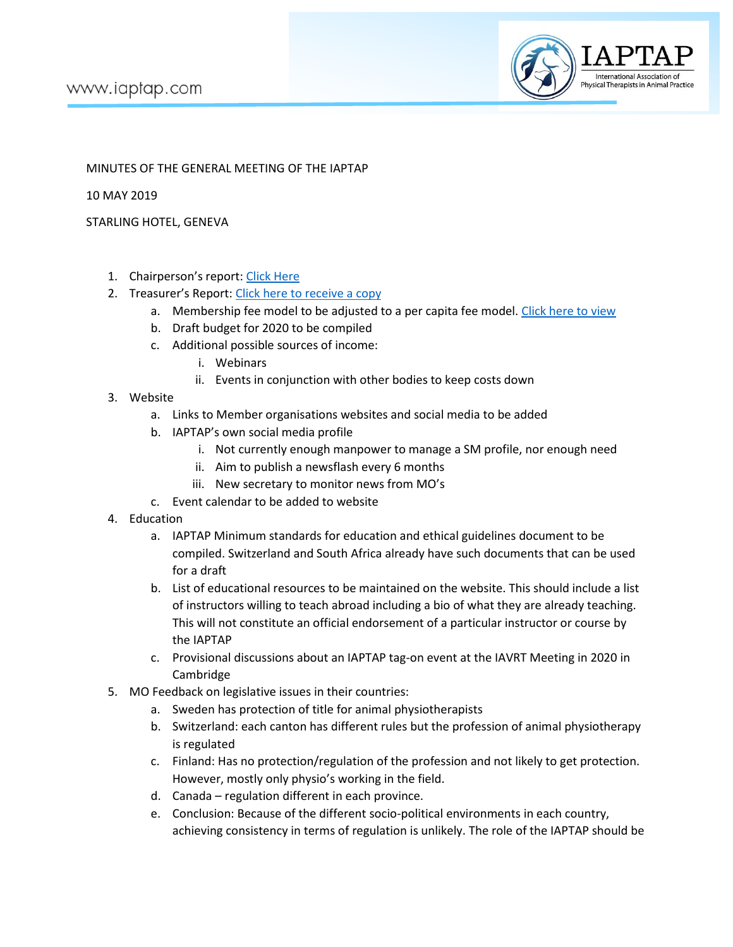

## MINUTES OF THE GENERAL MEETING OF THE IAPTAP

## 10 MAY 2019

STARLING HOTEL, GENEVA

- 1. Chairperson's report[: Click Here](https://docs.google.com/presentation/d/1N_tiPNukUswutDQiU0taJS3eZmnhh6Mun0RqvudjPdM/edit?usp=sharing)
- 2. Treasurer's Report[: Click here to receive a copy](mailto:iaptap.wcpt@gmail.com?subject=Finance%20Report)
	- a. Membership fee model to be adjusted to a per capita fee model[. Click here to view](https://www.iaptap.com/membership)
	- b. Draft budget for 2020 to be compiled
	- c. Additional possible sources of income:
		- i. Webinars
		- ii. Events in conjunction with other bodies to keep costs down
- 3. Website
	- a. Links to Member organisations websites and social media to be added
	- b. IAPTAP's own social media profile
		- i. Not currently enough manpower to manage a SM profile, nor enough need
		- ii. Aim to publish a newsflash every 6 months
		- iii. New secretary to monitor news from MO's
	- c. Event calendar to be added to website
- 4. Education
	- a. IAPTAP Minimum standards for education and ethical guidelines document to be compiled. Switzerland and South Africa already have such documents that can be used for a draft
	- b. List of educational resources to be maintained on the website. This should include a list of instructors willing to teach abroad including a bio of what they are already teaching. This will not constitute an official endorsement of a particular instructor or course by the IAPTAP
	- c. Provisional discussions about an IAPTAP tag-on event at the IAVRT Meeting in 2020 in Cambridge
- 5. MO Feedback on legislative issues in their countries:
	- a. Sweden has protection of title for animal physiotherapists
	- b. Switzerland: each canton has different rules but the profession of animal physiotherapy is regulated
	- c. Finland: Has no protection/regulation of the profession and not likely to get protection. However, mostly only physio's working in the field.
	- d. Canada regulation different in each province.
	- e. Conclusion: Because of the different socio-political environments in each country, achieving consistency in terms of regulation is unlikely. The role of the IAPTAP should be